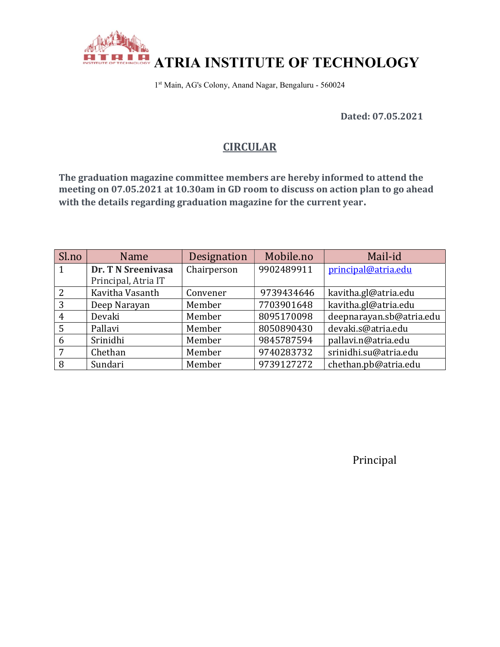

1 st Main, AG's Colony, Anand Nagar, Bengaluru - 560024

Dated: 07.05.2021

# **CIRCULAR**

The graduation magazine committee members are hereby informed to attend the meeting on 07.05.2021 at 10.30am in GD room to discuss on action plan to go ahead with the details regarding graduation magazine for the current year.

| Sl.no | Name                | Designation | Mobile.no  | Mail-id                  |
|-------|---------------------|-------------|------------|--------------------------|
| 1     | Dr. T N Sreenivasa  | Chairperson | 9902489911 | principal@atria.edu      |
|       | Principal, Atria IT |             |            |                          |
| 2     | Kavitha Vasanth     | Convener    | 9739434646 | kavitha.gl@atria.edu     |
| 3     | Deep Narayan        | Member      | 7703901648 | kavitha.gl@atria.edu     |
| 4     | Devaki              | Member      | 8095170098 | deepnarayan.sb@atria.edu |
| 5     | Pallavi             | Member      | 8050890430 | devaki.s@atria.edu       |
| 6     | Srinidhi            | Member      | 9845787594 | pallavi.n@atria.edu      |
| 7     | Chethan             | Member      | 9740283732 | srinidhi.su@atria.edu    |
| 8     | Sundari             | Member      | 9739127272 | chethan.pb@atria.edu     |

Principal